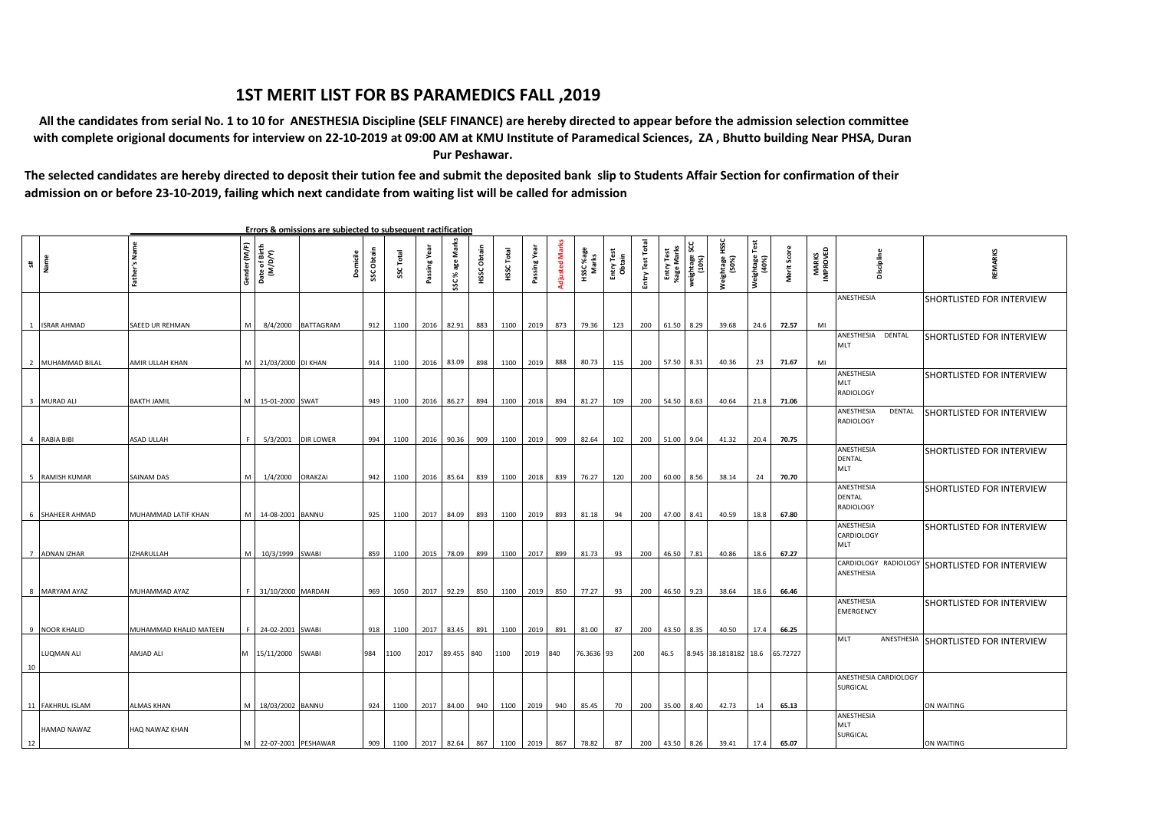## **1ST MERIT LIST FOR BS PARAMEDICS FALL ,2019**

 **All the candidates from serial No. 1 to 10 for ANESTHESIA Discipline (SELF FINANCE) are hereby directed to appear before the admission selection committee with complete origional documents for interview on 22-10-2019 at 09:00 AM at KMU Institute of Paramedical Sciences, ZA , Bhutto building Near PHSA, Duran Pur Peshawar.**

**The selected candidates are hereby directed to deposit their tution fee and submit the deposited bank slip to Students Affair Section for confirmation of their admission on or before 23-10-2019, failing which next candidate from waiting list will be called for admission**

 **Errors & omissions are subjected to subsequent ractification SSC % age Marks Entry Test Total Weightage HSSC Adjusted Marks weightage SCC Weightage Test** Father's Name **Father's Name** Entry Test Tota **(10%)** iender (M/F) **Gender (M/F) HSSC Obtain**  Passing Year **Marks Date of Birth (M/D/Y) Passing Year** HSSC Obtain **HSSC Total Passing Year HSSC %age Entry Test %age Marks (50%) SSC Obtain** å **Adjusted Mar Obtain Entry Test Merit Score MARKS IMPROVED REMARKS Domicile SSC Total** Passing Yea **Discipline (40%) s# Name**  SSC%ageM ANESTHESIA SHORTLISTED FOR INTERVIEW 1 ISRAR AHMAD SAEED UR REHMAN M 8/4/2000 BATTAGRAM 912 1100 2016 82.91 883 1100 2019 873 79.36 123 200 61.50 8.29 39.68 24.6 **72.57** MI ANESTHESIA DENTAL SHORTLISTED FOR INTERVIEW MLT 2 MUHAMMAD BILAL AMIR ULLAH KHAN M 21/03/2000 DI KHAN 914 1100 2016 83.09 898 1100 2019 888 80.73 115 200 57.50 8.31 40.36 23 **71.67** MI ANESTHESIA SHORTLISTED FOR INTERVIEW MLT RADIOLOGY 3 MURAD ALI BAKTH JAMIL M 15-01-2000 SWAT 949 1100 2016 86.27 894 1100 2018 894 81.27 109 200 54.50 8.63 40.64 21.8 **71.06** ANESTHESIA DENTAL SHORTLISTED FOR INTERVIEW RADIOLOGY 4 RABIA BIBI ASAD ULLAH F 5/3/2001 DIR LOWER 994 1100 2016 90.36 909 1100 2019 909 82.64 102 200 51.00 9.04 41.32 20.4 **70.75** ANESTHESIA SHORTLISTED FOR INTERVIEW DENTAL MLT 5 RAMISH KUMAR SAINAM DAS M 1/4/2000 ORAKZAI 942 1100 2016 85.64 839 1100 2018 839 76.27 120 200 60.00 8.56 38.14 24 **70.70** ANESTHESIA SHORTLISTED FOR INTERVIEW **DENTAL** RADIOLOGY 6 SHAHEER AHMAD MUHAMMAD LATIF KHAN M 14-08-2001 BANNU 925 1100 2017 84.09 893 1100 2019 893 81.18 94 200 47.00 8.41 40.59 18.8 **67.80** ANESTHESIA SHORTLISTED FOR INTERVIEW CARDIOLOGY MLT 7 ADNAN IZHAR IZHARULLAH M 10/3/1999 SWABI 859 1100 2015 78.09 899 1100 2017 899 81.73 93 200 46.50 7.81 40.86 18.6 **67.27** CARDIOLOGY RADIOLOGY SHORTLISTED FOR INTERVIEW ANESTHESIA 8 MARYAM AYAZ MUHAMMAD AYAZ F 31/10/2000 MARDAN 969 1050 2017 92.29 850 1100 2019 850 77.27 93 200 46.50 9.23 38.64 18.6 **66.46** ANESTHESIA SHORTLISTED FOR INTERVIEW **EMERGENCY** 9 NOOR KHALID MUHAMMAD KHALID MATEEN F 24-02-2001 SWABI 918 1100 2017 83.45 891 1100 2019 891 81.00 87 200 43.50 8.35 40.50 17.4 **66.25** MLT ANESTHESIA SHORTLISTED FOR INTERVIEW LUQMAN ALI AMJAD ALI M 15/11/2000 SWABI 984 1100 2017 89.455 840 1100 2019 840 76.3636 93 200 46.5 8.945 38.1818182 18.6 65.72727 10 ANESTHESIA CARDIOLOGY SURGICAL ON WAITING 11 FAKHRUL ISLAM ALMAS KHAN M 18/03/2002 BANNU 924 1100 2017 84.00 940 1100 2019 940 85.45 70 200 35.00 8.40 42.73 14 **65.13** ANESTHESIA MLT HAMAD NAWAZ HAQ NAWAZ KHAN SURGICAL M 22-07-2001 PESHAWAR 909 1100 2017 82.64 867 1100 2019 867 78.82 87 200 43.50 8.26 39.41 17.4 **65.07** ON WAITING 12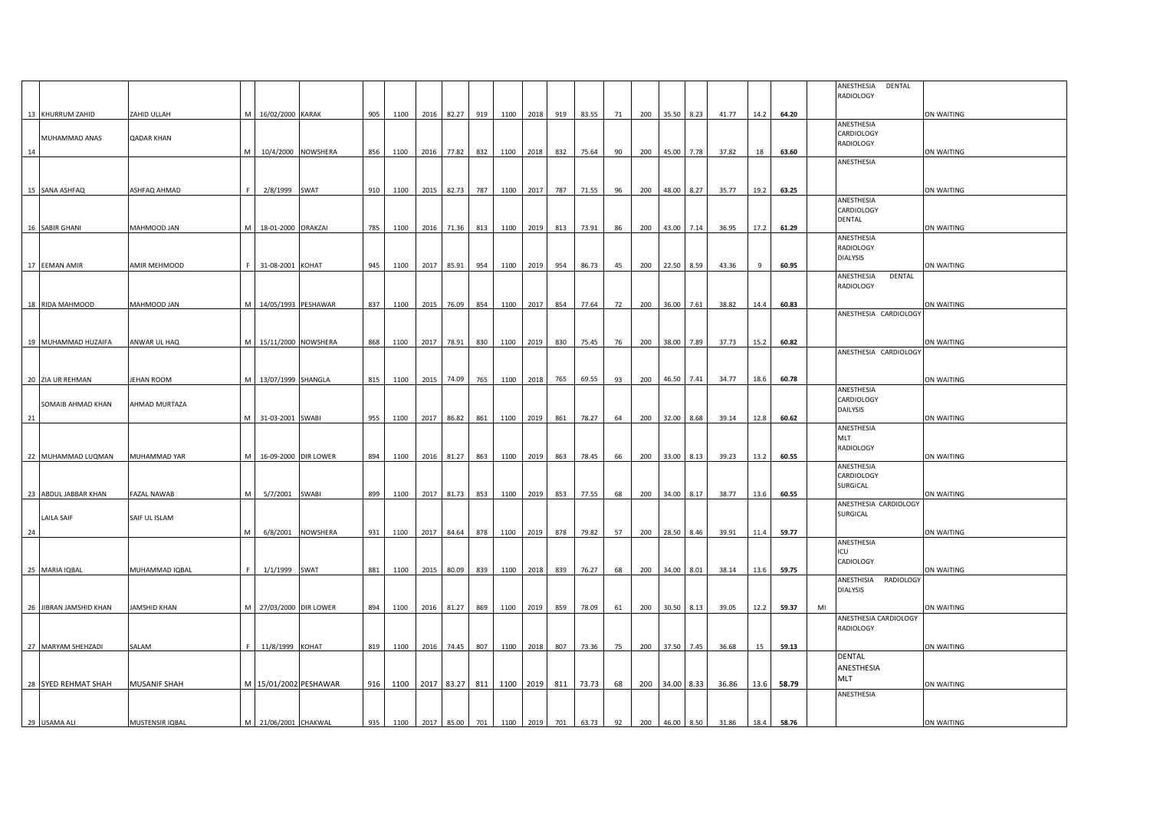|    |                        |                     |   |                      |                       |     |                     |      |                |     |           |               |               |                     |    |     |                |            |       |      |       |    | ANESTHESIA<br>DENTAL                |            |
|----|------------------------|---------------------|---|----------------------|-----------------------|-----|---------------------|------|----------------|-----|-----------|---------------|---------------|---------------------|----|-----|----------------|------------|-------|------|-------|----|-------------------------------------|------------|
|    |                        |                     |   |                      |                       |     |                     |      |                |     |           |               |               |                     |    |     |                |            |       |      |       |    | RADIOLOGY                           |            |
|    | 13 KHURRUM ZAHID       | ZAHID ULLAH         | м | 16/02/2000 KARAK     |                       | 905 | 1100                | 2016 | 82.27          | 919 |           | 1100 2018     | 919           | 83.55               | 71 | 200 | 35.50 8.23     |            | 41.77 | 14.2 | 64.20 |    | ANESTHESIA                          | ON WAITING |
|    | MUHAMMAD ANAS          | QADAR KHAN          |   |                      |                       |     |                     |      |                |     |           |               |               |                     |    |     |                |            |       |      |       |    | CARDIOLOGY                          |            |
|    |                        |                     |   |                      |                       |     |                     |      |                |     |           |               |               |                     |    |     |                |            |       |      |       |    | RADIOLOGY                           |            |
| 14 |                        |                     |   |                      | 10/4/2000 NOWSHERA    | 856 | 1100                | 2016 | 77.82          | 832 | 1100 2018 |               | 832           | 75.64               | 90 | 200 |                | 45.00 7.78 | 37.82 | 18   | 63.60 |    | ANESTHESIA                          | ON WAITING |
|    |                        |                     |   |                      |                       |     |                     |      |                |     |           |               |               |                     |    |     |                |            |       |      |       |    |                                     |            |
|    | 15 SANA ASHFAQ         | ASHFAQ AHMAD        |   | 2/8/1999 SWAT        |                       | 910 | 1100                | 2015 | 82.73          | 787 | 1100 2017 |               | 787           | 71.55               | 96 | 200 | 48.00          | 8.27       | 35.77 | 19.2 | 63.25 |    |                                     | ON WAITING |
|    |                        |                     |   |                      |                       |     |                     |      |                |     |           |               |               |                     |    |     |                |            |       |      |       |    | ANESTHESIA                          |            |
|    |                        |                     |   |                      |                       |     |                     |      |                |     |           |               |               |                     |    |     |                |            |       |      |       |    | CARDIOLOGY                          |            |
|    | 16 SABIR GHANI         | <b>MAHMOOD JAN</b>  |   | M 18-01-2000 ORAKZAI |                       | 785 | 1100                |      | 2016 71.36 813 |     |           | 1100 2019     | 813           | 73.91               | 86 | 200 |                | 43.00 7.14 | 36.95 | 17.2 | 61.29 |    | DENTAL                              | ON WAITING |
|    |                        |                     |   |                      |                       |     |                     |      |                |     |           |               |               |                     |    |     |                |            |       |      |       |    | ANESTHESIA                          |            |
|    |                        |                     |   |                      |                       |     |                     |      |                |     |           |               |               |                     |    |     |                |            |       |      |       |    | RADIOLOGY<br><b>DIALYSIS</b>        |            |
|    | 17 EEMAN AMIR          | AMIR MEHMOOD        |   | 31-08-2001 KOHAT     |                       | 945 | 1100                | 2017 | 85.91          | 954 |           | 1100 2019     | 954           | 86.73               | 45 | 200 | 22.50 8.59     |            | 43.36 | 9    | 60.95 |    |                                     | ON WAITING |
|    |                        |                     |   |                      |                       |     |                     |      |                |     |           |               |               |                     |    |     |                |            |       |      |       |    | ANESTHESIA<br>DENTAL                |            |
|    |                        |                     |   |                      |                       |     |                     |      |                |     |           |               |               |                     |    |     |                |            |       |      |       |    | RADIOLOGY                           |            |
|    | 18 RIDA MAHMOOD        | <b>MAHMOOD JAN</b>  |   | 14/05/1993 PESHAWAR  |                       | 837 | 1100                | 2015 | 76.09          | 854 | 1100 2017 |               | 854           | 77.64               | 72 | 200 |                | 36.00 7.61 | 38.82 | 14.4 | 60.83 |    |                                     | ON WAITING |
|    |                        |                     |   |                      |                       |     |                     |      |                |     |           |               |               |                     |    |     |                |            |       |      |       |    | ANESTHESIA CARDIOLOGY               |            |
|    |                        |                     |   |                      |                       |     |                     |      |                |     |           |               |               |                     |    |     |                |            |       |      |       |    |                                     |            |
|    | 19 MUHAMMAD HUZAIFA    | ANWAR UL HAQ        | M | 15/11/2000 NOWSHERA  |                       | 868 | 1100                | 2017 | 78.91          | 830 | 1100 2019 |               | 830           | 75.45               | 76 | 200 | 38.00          | 7.89       | 37.73 | 15.2 | 60.82 |    |                                     | ON WAITING |
|    |                        |                     |   |                      |                       |     |                     |      |                |     |           |               |               |                     |    |     |                |            |       |      |       |    | ANESTHESIA CARDIOLOGY               |            |
|    |                        |                     |   |                      |                       |     |                     |      |                |     |           |               |               |                     |    |     |                |            |       |      |       |    |                                     |            |
|    | 20 ZIA UR REHMAN       | <b>IEHAN ROOM</b>   |   | M 13/07/1999 SHANGLA |                       | 815 | 1100                | 2015 | 74.09          | 765 | 1100 2018 |               | 765           | 69.55               | 93 | 200 | 46.50 7.41     |            | 34.77 | 18.6 | 60.78 |    | ANESTHESIA                          | ON WAITING |
|    | SOMAIB AHMAD KHAN      | AHMAD MURTAZA       |   |                      |                       |     |                     |      |                |     |           |               |               |                     |    |     |                |            |       |      |       |    | CARDIOLOGY                          |            |
|    |                        |                     |   |                      |                       |     |                     |      |                |     |           |               |               |                     |    |     |                |            |       |      |       |    | DAILYSIS                            |            |
| 21 |                        |                     | M | 31-03-2001 SWABI     |                       | 955 | 1100                | 2017 | 86.82          | 861 |           | 1100 2019 861 |               | 78.27               | 64 | 200 | 32.00 8.68     |            | 39.14 | 12.8 | 60.62 |    | ANESTHESIA                          | ON WAITING |
|    |                        |                     |   |                      |                       |     |                     |      |                |     |           |               |               |                     |    |     |                |            |       |      |       |    | MLT                                 |            |
|    | 22 MUHAMMAD LUQMAN     | MUHAMMAD YAR        |   | 16-09-2000 DIR LOWER |                       | 894 | 1100                | 2016 | 81.27          | 863 | 1100 2019 |               | 863           | 78.45               | 66 | 200 |                | 33.00 8.13 | 39.23 | 13.2 | 60.55 |    | RADIOLOGY                           | ON WAITING |
|    |                        |                     |   |                      |                       |     |                     |      |                |     |           |               |               |                     |    |     |                |            |       |      |       |    | ANESTHESIA                          |            |
|    |                        |                     |   |                      |                       |     |                     |      |                |     |           |               |               |                     |    |     |                |            |       |      |       |    | CARDIOLOGY                          |            |
|    | 23 ABDUL JABBAR KHAN   | FAZAL NAWAB         | M | 5/7/2001             | <b>SWABI</b>          | 899 | 1100                | 2017 | 81.73          | 853 | 1100 2019 |               | 853           | 77.55               | 68 | 200 | 34.00          | 8.17       | 38.77 | 13.6 | 60.55 |    | SURGICAL                            | ON WAITING |
|    |                        |                     |   |                      |                       |     |                     |      |                |     |           |               |               |                     |    |     |                |            |       |      |       |    | ANESTHESIA CARDIOLOGY               |            |
|    | <b>LAILA SAIF</b>      | SAIF UL ISLAM       |   |                      |                       |     |                     |      |                |     |           |               |               |                     |    |     |                |            |       |      |       |    | SURGICAL                            |            |
| 24 |                        |                     | M | 6/8/2001             | NOWSHERA              | 931 | 1100                | 2017 | 84.64          | 878 | 1100 2019 |               | 878           | 79.82               | 57 | 200 |                | 28.50 8.46 | 39.91 | 11.4 | 59.77 |    |                                     | ON WAITING |
|    |                        |                     |   |                      |                       |     |                     |      |                |     |           |               |               |                     |    |     |                |            |       |      |       |    | ANESTHESIA<br>ICU                   |            |
|    |                        |                     |   |                      |                       |     |                     |      |                |     |           |               |               |                     |    |     |                |            |       |      |       |    | CADIOLOGY                           |            |
|    | 25 MARIA IQBAL         | MUHAMMAD IQBAL      |   | 1/1/1999 SWAT        |                       | 881 | 1100                | 2015 | 80.09          | 839 |           | 1100 2018 839 |               | 76.27               | 68 | 200 | 34.00 8.01     |            | 38.14 | 13.6 | 59.75 |    |                                     | ON WAITING |
|    |                        |                     |   |                      |                       |     |                     |      |                |     |           |               |               |                     |    |     |                |            |       |      |       |    | ANESTHISIA<br>RADIOLOGY<br>DIALYSIS |            |
|    |                        |                     |   |                      |                       |     |                     |      |                |     |           |               |               |                     |    |     |                |            |       |      |       |    |                                     |            |
|    | 26 JIBRAN JAMSHID KHAN | JAMSHID KHAN        | M | 27/03/2000 DIR LOWER |                       | 894 | 1100                | 2016 | 81.27          | 869 | 1100 2019 |               | 859           | 78.09               | 61 | 200 | 30.50 8.13     |            | 39.05 | 12.2 | 59.37 | MI | ANESTHESIA CARDIOLOGY               | ON WAITING |
|    |                        |                     |   |                      |                       |     |                     |      |                |     |           |               |               |                     |    |     |                |            |       |      |       |    | RADIOLOGY                           |            |
|    |                        |                     |   |                      |                       |     |                     |      |                |     |           |               |               |                     |    |     |                |            |       |      |       |    |                                     |            |
|    | 27 MARYAM SHEHZADI     | SALAM               |   | 11/8/1999 KOHAT      |                       | 819 | 1100                | 2016 | 74.45          | 807 | 1100 2018 |               | 807           | 73.36               | 75 | 200 |                | 37.50 7.45 | 36.68 | 15   | 59.13 |    | <b>DENTAL</b>                       | ON WAITING |
|    |                        |                     |   |                      |                       |     |                     |      |                |     |           |               |               |                     |    |     |                |            |       |      |       |    | ANESTHESIA                          |            |
|    | 28 SYED REHMAT SHAH    | <b>MUSANIF SHAH</b> |   |                      | M 15/01/2002 PESHAWAR |     | 916 1100            |      | 2017 83.27 811 |     |           |               |               | 1100 2019 811 73.73 | 68 |     | 200 34.00 8.33 |            | 36.86 | 13.6 | 58.79 |    | MLT                                 | ON WAITING |
|    |                        |                     |   |                      |                       |     |                     |      |                |     |           |               |               |                     |    |     |                |            |       |      |       |    | ANESTHESIA                          |            |
|    |                        |                     |   |                      |                       |     |                     |      |                |     |           |               |               |                     |    |     |                |            |       |      |       |    |                                     |            |
|    | 29 USAMA ALI           | MUSTENSIR IQBAL     |   | M 21/06/2001 CHAKWAL |                       | 935 | 1100 2017 85.00 701 |      |                |     |           |               | 1100 2019 701 | 63.73               | 92 | 200 |                | 46.00 8.50 | 31.86 | 18.4 | 58.76 |    |                                     | ON WAITING |
|    |                        |                     |   |                      |                       |     |                     |      |                |     |           |               |               |                     |    |     |                |            |       |      |       |    |                                     |            |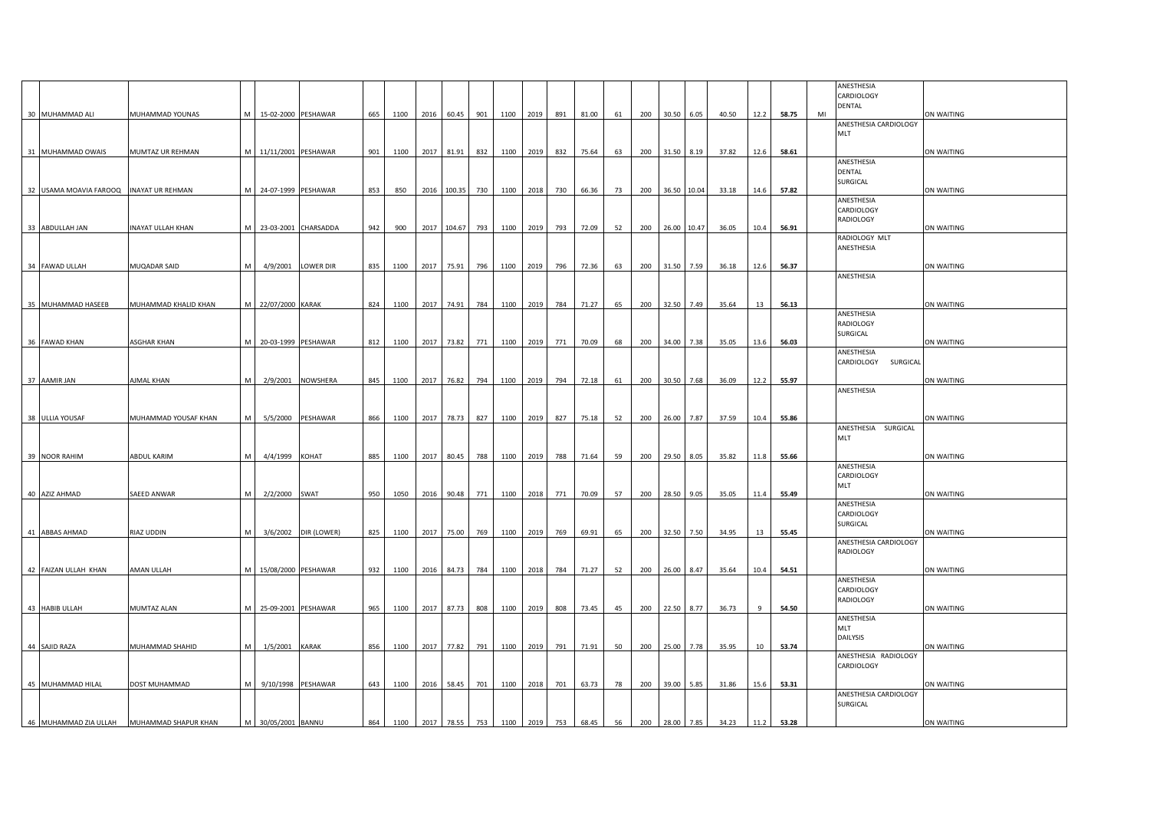|                                         |                      |   |                        |                      |     |                                   |      |                 |     |           |               |               |       |    |     |                |             |       |      |       |    | ANESTHESIA<br>CARDIOLOGY<br>DENTAL    |            |
|-----------------------------------------|----------------------|---|------------------------|----------------------|-----|-----------------------------------|------|-----------------|-----|-----------|---------------|---------------|-------|----|-----|----------------|-------------|-------|------|-------|----|---------------------------------------|------------|
| 30 MUHAMMAD ALI                         | MUHAMMAD YOUNAS      | M | 15-02-2000 PESHAWAR    |                      | 665 | 1100                              | 2016 | 60.45           | 901 |           | 1100 2019 891 |               | 81.00 | 61 | 200 | 30.50          | 6.05        | 40.50 | 12.2 | 58.75 | MI | ANESTHESIA CARDIOLOGY<br>MLT          | ON WAITING |
| 31 MUHAMMAD OWAIS                       | MUMTAZ UR REHMAN     | M | 11/11/2001 PESHAWAR    |                      | 901 | 1100                              | 2017 | 81.91           | 832 |           | 1100 2019     | 832           | 75.64 | 63 | 200 | 31.50 8.19     |             | 37.82 | 12.6 | 58.61 |    |                                       | ON WAITING |
| 32 USAMA MOAVIA FAROOQ INAYAT UR REHMAN |                      |   | M 24-07-1999 PESHAWAR  |                      | 853 | 850                               | 2016 | 100.35          | 730 | 1100 2018 |               | 730           | 66.36 | 73 | 200 |                | 36.50 10.04 | 33.18 | 14.6 | 57.82 |    | ANESTHESIA<br>DENTAL<br>SURGICAL      | ON WAITING |
| 33 ABDULLAH JAN                         | INAYAT ULLAH KHAN    |   | M 23-03-2001 CHARSADDA |                      | 942 | 900                               |      | 2017 104.67 793 |     |           | 1100 2019     | 793           | 72.09 | 52 | 200 |                | 26.00 10.47 | 36.05 | 10.4 | 56.91 |    | ANESTHESIA<br>CARDIOLOGY<br>RADIOLOGY | ON WAITING |
|                                         |                      |   |                        |                      |     |                                   |      |                 |     |           |               |               |       |    |     |                |             |       |      |       |    | RADIOLOGY MLT<br>ANESTHESIA           |            |
| 34 FAWAD ULLAH                          | MUQADAR SAID         |   | 4/9/2001 LOWER DIR     |                      | 835 | 1100                              | 2017 | 75.91           | 796 |           | 1100 2019 796 |               | 72.36 | 63 | 200 |                | 31.50 7.59  | 36.18 | 12.6 | 56.37 |    |                                       | ON WAITING |
|                                         |                      |   |                        |                      |     |                                   |      |                 |     |           |               |               |       |    |     |                |             |       |      |       |    | ANESTHESIA                            |            |
| 35 MUHAMMAD HASEEB                      | MUHAMMAD KHALID KHAN | M | 22/07/2000 KARAK       |                      | 824 | 1100                              | 2017 | 74.91           | 784 | 1100 2019 |               | 784           | 71.27 | 65 | 200 |                | 32.50 7.49  | 35.64 | 13   | 56.13 |    | ANESTHESIA                            | ON WAITING |
| 36 FAWAD KHAN                           | ASGHAR KHAN          | M | 20-03-1999 PESHAWAR    |                      | 812 | 1100                              | 2017 | 73.82           | 771 | 1100 2019 |               | 771           | 70.09 | 68 | 200 | 34.00          | 7.38        | 35.05 | 13.6 | 56.03 |    | RADIOLOGY<br>SURGICAL                 | ON WAITING |
|                                         |                      |   |                        |                      |     |                                   |      |                 |     |           |               |               |       |    |     |                |             |       |      |       |    | ANESTHESIA                            |            |
| 37 AAMIR JAN                            | AJMAL KHAN           | M |                        | 2/9/2001 NOWSHERA    | 845 | 1100                              | 2017 | 76.82 794       |     |           |               | 1100 2019 794 | 72.18 | 61 | 200 | 30.50 7.68     |             | 36.09 | 12.2 | 55.97 |    | CARDIOLOGY<br><b>SURGICAL</b>         | ON WAITING |
|                                         |                      |   |                        |                      |     |                                   |      |                 |     |           |               |               |       |    |     |                |             |       |      |       |    | ANESTHESIA                            |            |
| 38 ULLIA YOUSAF                         | MUHAMMAD YOUSAF KHAN | M | 5/5/2000 PESHAWAR      |                      | 866 | 1100                              | 2017 | 78.73           | 827 |           | 1100 2019     | 827           | 75.18 | 52 | 200 | 26.00 7.87     |             | 37.59 | 10.4 | 55.86 |    |                                       | ON WAITING |
|                                         |                      |   |                        |                      |     |                                   |      |                 |     |           |               |               |       |    |     |                |             |       |      |       |    | ANESTHESIA SURGICAL<br>MLT            |            |
| 39 NOOR RAHIM                           | ABDUL KARIM          |   | 4/4/1999 KOHAT         |                      | 885 | 1100                              | 2017 | 80.45           | 788 | 1100 2019 |               | 788           | 71.64 | 59 | 200 |                | 29.50 8.05  | 35.82 | 11.8 | 55.66 |    | ANESTHESIA                            | ON WAITING |
|                                         |                      |   |                        |                      |     |                                   |      |                 |     |           |               |               |       |    |     |                |             |       |      |       |    | CARDIOLOGY<br>MLT                     |            |
| 40 AZIZ AHMAD                           | SAEED ANWAR          | M | 2/2/2000 SWAT          |                      | 950 | 1050                              | 2016 | 90.48           | 771 | 1100 2018 |               | 771           | 70.09 | 57 | 200 | 28.50 9.05     |             | 35.05 | 11.4 | 55.49 |    | ANESTHESIA                            | ON WAITING |
| 41 ABBAS AHMAD                          | RIAZ UDDIN           | M |                        | 3/6/2002 DIR (LOWER) | 825 | 1100                              | 2017 | 75.00           | 769 |           | 1100 2019 769 |               | 69.91 | 65 | 200 |                | 32.50 7.50  | 34.95 | 13   | 55.45 |    | CARDIOLOGY<br>SURGICAL                | ON WAITING |
|                                         |                      |   |                        |                      |     |                                   |      |                 |     |           |               |               |       |    |     |                |             |       |      |       |    | ANESTHESIA CARDIOLOGY                 |            |
| 42 FAIZAN ULLAH KHAN                    | AMAN ULLAH           | M | 15/08/2000 PESHAWAR    |                      | 932 | 1100                              | 2016 | 84.73           | 784 |           | 1100 2018 784 |               | 71.27 | 52 |     | 200 26.00 8.47 |             | 35.64 | 10.4 | 54.51 |    | RADIOLOGY                             | ON WAITING |
|                                         |                      |   |                        |                      |     |                                   |      |                 |     |           |               |               |       |    |     |                |             |       |      |       |    | ANESTHESIA<br>CARDIOLOGY<br>RADIOLOGY |            |
| 43 HABIB ULLAH                          | MUMTAZ ALAN          | M | 25-09-2001 PESHAWAR    |                      | 965 | 1100                              | 2017 | 87.73           | 808 |           | 1100 2019     | 808           | 73.45 | 45 | 200 |                | 22.50 8.77  | 36.73 |      | 54.50 |    |                                       | ON WAITING |
| 44 SAJID RAZA                           | MUHAMMAD SHAHID      |   | 1/5/2001               | <b>KARAK</b>         | 856 | 1100                              | 2017 | 77.82           | 791 | 1100 2019 |               | 791           | 71.91 | 50 | 200 |                | 25.00 7.78  | 35.95 | 10   | 53.74 |    | ANESTHESIA<br>MLT<br>DAILYSIS         | ON WAITING |
|                                         |                      |   |                        |                      |     |                                   |      |                 |     |           |               |               |       |    |     |                |             |       |      |       |    | ANESTHESIA RADIOLOGY<br>CARDIOLOGY    |            |
| 45 MUHAMMAD HILAL                       | DOST MUHAMMAD        | M | 9/10/1998 PESHAWAR     |                      | 643 | 1100                              | 2016 | 58.45           | 701 | 1100 2018 |               | 701           | 63.73 | 78 | 200 | 39.00 5.85     |             | 31.86 | 15.6 | 53.31 |    |                                       | ON WAITING |
|                                         |                      |   |                        |                      |     |                                   |      |                 |     |           |               |               |       |    |     |                |             |       |      |       |    | ANESTHESIA CARDIOLOGY<br>SURGICAL     |            |
| 46 MUHAMMAD ZIA ULLAH                   | MUHAMMAD SHAPUR KHAN |   | M 30/05/2001 BANNU     |                      | 864 | 1100 2017 78.55 753 1100 2019 753 |      |                 |     |           |               |               | 68.45 | 56 |     | 200 28.00 7.85 |             | 34.23 | 11.2 | 53.28 |    |                                       | ON WAITING |